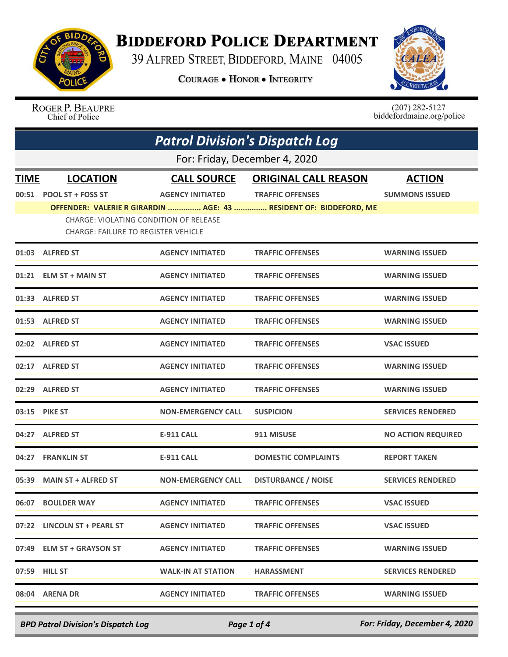

## **BIDDEFORD POLICE DEPARTMENT**

39 ALFRED STREET, BIDDEFORD, MAINE 04005

**COURAGE . HONOR . INTEGRITY** 



ROGER P. BEAUPRE Chief of Police

 $(207)$  282-5127<br>biddefordmaine.org/police

|                               | <b>Patrol Division's Dispatch Log</b>                                                |                           |                                                                   |                           |  |
|-------------------------------|--------------------------------------------------------------------------------------|---------------------------|-------------------------------------------------------------------|---------------------------|--|
| For: Friday, December 4, 2020 |                                                                                      |                           |                                                                   |                           |  |
| <b>TIME</b>                   | <b>LOCATION</b>                                                                      | <b>CALL SOURCE</b>        | <b>ORIGINAL CALL REASON</b>                                       | <b>ACTION</b>             |  |
|                               | 00:51 POOL ST + FOSS ST                                                              | <b>AGENCY INITIATED</b>   | <b>TRAFFIC OFFENSES</b>                                           | <b>SUMMONS ISSUED</b>     |  |
|                               | CHARGE: VIOLATING CONDITION OF RELEASE<br><b>CHARGE: FAILURE TO REGISTER VEHICLE</b> |                           | OFFENDER: VALERIE R GIRARDIN  AGE: 43  RESIDENT OF: BIDDEFORD, ME |                           |  |
|                               | 01:03 ALFRED ST                                                                      | <b>AGENCY INITIATED</b>   | <b>TRAFFIC OFFENSES</b>                                           | <b>WARNING ISSUED</b>     |  |
|                               | 01:21 ELM ST + MAIN ST                                                               | <b>AGENCY INITIATED</b>   | <b>TRAFFIC OFFENSES</b>                                           | <b>WARNING ISSUED</b>     |  |
|                               | 01:33 ALFRED ST                                                                      | <b>AGENCY INITIATED</b>   | <b>TRAFFIC OFFENSES</b>                                           | <b>WARNING ISSUED</b>     |  |
|                               | 01:53 ALFRED ST                                                                      | <b>AGENCY INITIATED</b>   | <b>TRAFFIC OFFENSES</b>                                           | <b>WARNING ISSUED</b>     |  |
|                               | 02:02 ALFRED ST                                                                      | <b>AGENCY INITIATED</b>   | <b>TRAFFIC OFFENSES</b>                                           | <b>VSAC ISSUED</b>        |  |
|                               | 02:17 ALFRED ST                                                                      | <b>AGENCY INITIATED</b>   | <b>TRAFFIC OFFENSES</b>                                           | <b>WARNING ISSUED</b>     |  |
|                               | 02:29 ALFRED ST                                                                      | <b>AGENCY INITIATED</b>   | <b>TRAFFIC OFFENSES</b>                                           | <b>WARNING ISSUED</b>     |  |
|                               | 03:15 PIKE ST                                                                        | <b>NON-EMERGENCY CALL</b> | <b>SUSPICION</b>                                                  | <b>SERVICES RENDERED</b>  |  |
|                               | 04:27 ALFRED ST                                                                      | <b>E-911 CALL</b>         | 911 MISUSE                                                        | <b>NO ACTION REQUIRED</b> |  |
|                               | 04:27 FRANKLIN ST                                                                    | <b>E-911 CALL</b>         | <b>DOMESTIC COMPLAINTS</b>                                        | <b>REPORT TAKEN</b>       |  |
|                               | 05:39 MAIN ST + ALFRED ST                                                            | <b>NON-EMERGENCY CALL</b> | <b>DISTURBANCE / NOISE</b>                                        | <b>SERVICES RENDERED</b>  |  |
|                               | 06:07 BOULDER WAY                                                                    | <b>AGENCY INITIATED</b>   | <b>TRAFFIC OFFENSES</b>                                           | <b>VSAC ISSUED</b>        |  |
|                               | 07:22 LINCOLN ST + PEARL ST                                                          | <b>AGENCY INITIATED</b>   | <b>TRAFFIC OFFENSES</b>                                           | <b>VSAC ISSUED</b>        |  |
|                               | 07:49 ELM ST + GRAYSON ST                                                            | <b>AGENCY INITIATED</b>   | <b>TRAFFIC OFFENSES</b>                                           | <b>WARNING ISSUED</b>     |  |
|                               | 07:59 HILL ST                                                                        | <b>WALK-IN AT STATION</b> | <b>HARASSMENT</b>                                                 | <b>SERVICES RENDERED</b>  |  |
|                               | 08:04 ARENA DR                                                                       | <b>AGENCY INITIATED</b>   | <b>TRAFFIC OFFENSES</b>                                           | <b>WARNING ISSUED</b>     |  |
|                               |                                                                                      |                           |                                                                   |                           |  |

*BPD Patrol Division's Dispatch Log Page 1 of 4 For: Friday, December 4, 2020*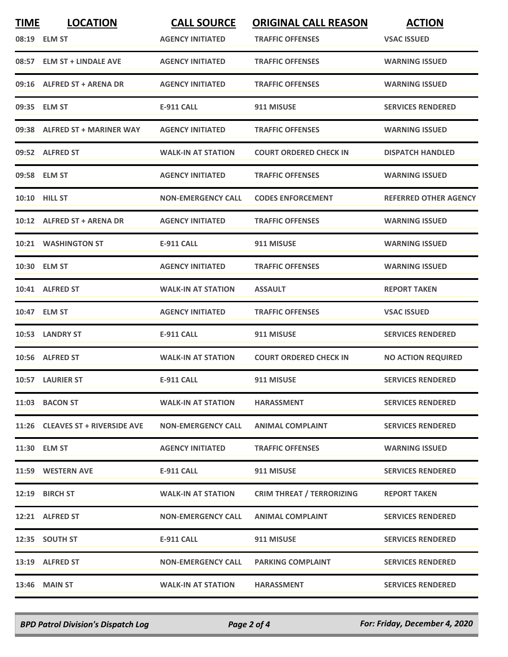| <b>TIME</b> | <b>LOCATION</b><br>08:19 ELM ST  | <b>CALL SOURCE</b><br><b>AGENCY INITIATED</b> | <b>ORIGINAL CALL REASON</b><br><b>TRAFFIC OFFENSES</b> | <b>ACTION</b><br><b>VSAC ISSUED</b> |
|-------------|----------------------------------|-----------------------------------------------|--------------------------------------------------------|-------------------------------------|
|             | 08:57 ELM ST + LINDALE AVE       | <b>AGENCY INITIATED</b>                       | <b>TRAFFIC OFFENSES</b>                                | <b>WARNING ISSUED</b>               |
|             | 09:16 ALFRED ST + ARENA DR       | <b>AGENCY INITIATED</b>                       | <b>TRAFFIC OFFENSES</b>                                | <b>WARNING ISSUED</b>               |
|             | 09:35 ELM ST                     | <b>E-911 CALL</b>                             | 911 MISUSE                                             | <b>SERVICES RENDERED</b>            |
|             | 09:38 ALFRED ST + MARINER WAY    | <b>AGENCY INITIATED</b>                       | <b>TRAFFIC OFFENSES</b>                                | <b>WARNING ISSUED</b>               |
|             | 09:52 ALFRED ST                  | <b>WALK-IN AT STATION</b>                     | <b>COURT ORDERED CHECK IN</b>                          | <b>DISPATCH HANDLED</b>             |
|             | 09:58 ELM ST                     | <b>AGENCY INITIATED</b>                       | <b>TRAFFIC OFFENSES</b>                                | <b>WARNING ISSUED</b>               |
|             | <b>10:10 HILL ST</b>             | <b>NON-EMERGENCY CALL</b>                     | <b>CODES ENFORCEMENT</b>                               | <b>REFERRED OTHER AGENCY</b>        |
|             | 10:12 ALFRED ST + ARENA DR       | <b>AGENCY INITIATED</b>                       | <b>TRAFFIC OFFENSES</b>                                | <b>WARNING ISSUED</b>               |
|             | 10:21 WASHINGTON ST              | <b>E-911 CALL</b>                             | 911 MISUSE                                             | <b>WARNING ISSUED</b>               |
|             | 10:30 ELM ST                     | <b>AGENCY INITIATED</b>                       | <b>TRAFFIC OFFENSES</b>                                | <b>WARNING ISSUED</b>               |
|             | 10:41 ALFRED ST                  | <b>WALK-IN AT STATION</b>                     | ASSAULT                                                | <b>REPORT TAKEN</b>                 |
|             | 10:47 ELM ST                     | <b>AGENCY INITIATED</b>                       | <b>TRAFFIC OFFENSES</b>                                | <b>VSAC ISSUED</b>                  |
|             | 10:53 LANDRY ST                  | <b>E-911 CALL</b>                             | 911 MISUSE                                             | <b>SERVICES RENDERED</b>            |
|             | 10:56 ALFRED ST                  | <b>WALK-IN AT STATION</b>                     | <b>COURT ORDERED CHECK IN</b>                          | <b>NO ACTION REQUIRED</b>           |
|             | 10:57 LAURIER ST                 | <b>E-911 CALL</b>                             | 911 MISUSE                                             | <b>SERVICES RENDERED</b>            |
|             | 11:03 BACON ST                   | <b>WALK-IN AT STATION</b>                     | <b>HARASSMENT</b>                                      | <b>SERVICES RENDERED</b>            |
|             | 11:26 CLEAVES ST + RIVERSIDE AVE | <b>NON-EMERGENCY CALL</b>                     | <b>ANIMAL COMPLAINT</b>                                | <b>SERVICES RENDERED</b>            |
|             | 11:30 ELM ST                     | <b>AGENCY INITIATED</b>                       | <b>TRAFFIC OFFENSES</b>                                | <b>WARNING ISSUED</b>               |
|             | 11:59 WESTERN AVE                | E-911 CALL                                    | 911 MISUSE                                             | <b>SERVICES RENDERED</b>            |
|             | 12:19 BIRCH ST                   | <b>WALK-IN AT STATION</b>                     | <b>CRIM THREAT / TERRORIZING</b>                       | <b>REPORT TAKEN</b>                 |
|             | 12:21 ALFRED ST                  | <b>NON-EMERGENCY CALL</b>                     | <b>ANIMAL COMPLAINT</b>                                | <b>SERVICES RENDERED</b>            |
|             | 12:35 SOUTH ST                   | <b>E-911 CALL</b>                             | 911 MISUSE                                             | <b>SERVICES RENDERED</b>            |
|             | 13:19 ALFRED ST                  | <b>NON-EMERGENCY CALL</b>                     | <b>PARKING COMPLAINT</b>                               | <b>SERVICES RENDERED</b>            |
|             | <b>13:46 MAIN ST</b>             | <b>WALK-IN AT STATION</b>                     | <b>HARASSMENT</b>                                      | <b>SERVICES RENDERED</b>            |

*BPD Patrol Division's Dispatch Log Page 2 of 4 For: Friday, December 4, 2020*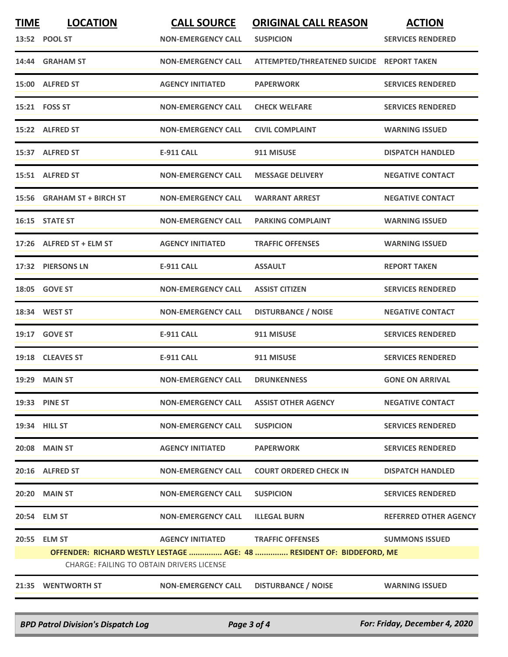| <b>TIME</b> | <b>LOCATION</b>                                  | <b>CALL SOURCE</b>                     | <b>ORIGINAL CALL REASON</b>                                           | <b>ACTION</b>                |
|-------------|--------------------------------------------------|----------------------------------------|-----------------------------------------------------------------------|------------------------------|
|             | 13:52 POOL ST                                    | <b>NON-EMERGENCY CALL</b>              | <b>SUSPICION</b>                                                      | <b>SERVICES RENDERED</b>     |
|             | 14:44 GRAHAM ST                                  | <b>NON-EMERGENCY CALL</b>              | ATTEMPTED/THREATENED SUICIDE REPORT TAKEN                             |                              |
|             | 15:00 ALFRED ST                                  | <b>AGENCY INITIATED</b>                | <b>PAPERWORK</b>                                                      | <b>SERVICES RENDERED</b>     |
|             | 15:21 FOSS ST                                    | <b>NON-EMERGENCY CALL</b>              | <b>CHECK WELFARE</b>                                                  | <b>SERVICES RENDERED</b>     |
|             | 15:22 ALFRED ST                                  | <b>NON-EMERGENCY CALL</b>              | <b>CIVIL COMPLAINT</b>                                                | <b>WARNING ISSUED</b>        |
|             | 15:37 ALFRED ST                                  | <b>E-911 CALL</b>                      | 911 MISUSE                                                            | <b>DISPATCH HANDLED</b>      |
|             | 15:51 ALFRED ST                                  | <b>NON-EMERGENCY CALL</b>              | <b>MESSAGE DELIVERY</b>                                               | <b>NEGATIVE CONTACT</b>      |
|             | 15:56 GRAHAM ST + BIRCH ST                       | <b>NON-EMERGENCY CALL</b>              | <b>WARRANT ARREST</b>                                                 | <b>NEGATIVE CONTACT</b>      |
|             | 16:15 STATE ST                                   | <b>NON-EMERGENCY CALL</b>              | <b>PARKING COMPLAINT</b>                                              | <b>WARNING ISSUED</b>        |
|             | 17:26 ALFRED ST + ELM ST                         | <b>AGENCY INITIATED</b>                | <b>TRAFFIC OFFENSES</b>                                               | <b>WARNING ISSUED</b>        |
|             | 17:32 PIERSONS LN                                | <b>E-911 CALL</b>                      | <b>ASSAULT</b>                                                        | <b>REPORT TAKEN</b>          |
|             | 18:05 GOVE ST                                    | <b>NON-EMERGENCY CALL</b>              | <b>ASSIST CITIZEN</b>                                                 | <b>SERVICES RENDERED</b>     |
|             | 18:34 WEST ST                                    | <b>NON-EMERGENCY CALL</b>              | <b>DISTURBANCE / NOISE</b>                                            | <b>NEGATIVE CONTACT</b>      |
| 19:17       | <b>GOVE ST</b>                                   | <b>E-911 CALL</b>                      | 911 MISUSE                                                            | <b>SERVICES RENDERED</b>     |
|             | 19:18 CLEAVES ST                                 | <b>E-911 CALL</b>                      | 911 MISUSE                                                            | <b>SERVICES RENDERED</b>     |
|             | <b>19:29 MAIN ST</b>                             | <b>NON-EMERGENCY CALL</b>              | <b>DRUNKENNESS</b>                                                    | <b>GONE ON ARRIVAL</b>       |
|             | 19:33 PINE ST                                    | NON-EMERGENCY CALL ASSIST OTHER AGENCY |                                                                       | <b>NEGATIVE CONTACT</b>      |
|             | 19:34 HILL ST                                    | <b>NON-EMERGENCY CALL</b>              | <b>SUSPICION</b>                                                      | <b>SERVICES RENDERED</b>     |
|             | 20:08 MAIN ST                                    | <b>AGENCY INITIATED</b>                | <b>PAPERWORK</b>                                                      | <b>SERVICES RENDERED</b>     |
|             | 20:16 ALFRED ST                                  | NON-EMERGENCY CALL                     | <b>COURT ORDERED CHECK IN</b>                                         | <b>DISPATCH HANDLED</b>      |
|             | <b>20:20 MAIN ST</b>                             | <b>NON-EMERGENCY CALL</b>              | <b>SUSPICION</b>                                                      | <b>SERVICES RENDERED</b>     |
|             | 20:54 ELM ST                                     | NON-EMERGENCY CALL                     | <b>ILLEGAL BURN</b>                                                   | <b>REFERRED OTHER AGENCY</b> |
|             | 20:55 ELM ST                                     |                                        | AGENCY INITIATED TRAFFIC OFFENSES                                     | <b>SUMMONS ISSUED</b>        |
|             | <b>CHARGE: FAILING TO OBTAIN DRIVERS LICENSE</b> |                                        | OFFENDER: RICHARD WESTLY LESTAGE  AGE: 48  RESIDENT OF: BIDDEFORD, ME |                              |
|             |                                                  |                                        |                                                                       |                              |
|             | 21:35 WENTWORTH ST                               | <b>NON-EMERGENCY CALL</b>              | <b>DISTURBANCE / NOISE</b>                                            | <b>WARNING ISSUED</b>        |

*BPD Patrol Division's Dispatch Log Page 3 of 4 For: Friday, December 4, 2020*